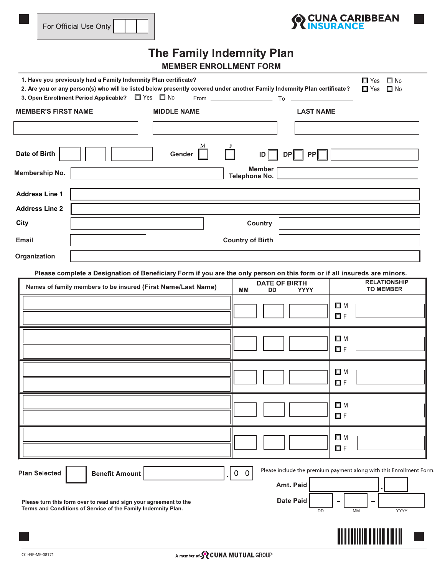



## The Family Indemnity Plan **MEMBER ENROLLMENT FORM**

| 1. Have you previously had a Family Indemnity Plan certificate?<br>2. Are you or any person(s) who will be listed below presently covered under another Family Indemnity Plan certificate?<br>3. Open Enrollment Period Applicable?<br>$\Box$ Yes $\Box$ No |                    |                                                                                                                                                                             | $\square$ No<br>□ Yes<br>$\Box$ Yes<br>$\square$ No                                                         |
|-------------------------------------------------------------------------------------------------------------------------------------------------------------------------------------------------------------------------------------------------------------|--------------------|-----------------------------------------------------------------------------------------------------------------------------------------------------------------------------|-------------------------------------------------------------------------------------------------------------|
| <b>MEMBER'S FIRST NAME</b>                                                                                                                                                                                                                                  | <b>MIDDLE NAME</b> | <b>LAST NAME</b>                                                                                                                                                            |                                                                                                             |
| Date of Birth                                                                                                                                                                                                                                               | Gender             | DP   PP<br>ID                                                                                                                                                               |                                                                                                             |
| Membership No.                                                                                                                                                                                                                                              |                    | <b>Member</b><br>Telephone No.                                                                                                                                              |                                                                                                             |
| <b>Address Line 1</b>                                                                                                                                                                                                                                       |                    |                                                                                                                                                                             |                                                                                                             |
| <b>Address Line 2</b>                                                                                                                                                                                                                                       |                    |                                                                                                                                                                             |                                                                                                             |
| City                                                                                                                                                                                                                                                        |                    | <b>Country</b>                                                                                                                                                              |                                                                                                             |
| <b>Email</b>                                                                                                                                                                                                                                                |                    | <b>Country of Birth</b>                                                                                                                                                     |                                                                                                             |
| Organization                                                                                                                                                                                                                                                |                    |                                                                                                                                                                             |                                                                                                             |
| Names of family members to be insured (First Name/Last Name)                                                                                                                                                                                                |                    | Please complete a Designation of Beneficiary Form if you are the only person on this form or if all insureds are minors.<br><b>DATE OF BIRTH</b><br>MМ<br>DD<br><b>YYYY</b> | <b>RELATIONSHIP</b><br><b>TO MEMBER</b><br>$\Box$ M<br><b>OF</b><br>$\Box$ M<br><b>OF</b><br>$\Box$ M<br>ΠF |
|                                                                                                                                                                                                                                                             |                    |                                                                                                                                                                             | $\Box$ M<br>ΠF                                                                                              |
|                                                                                                                                                                                                                                                             |                    |                                                                                                                                                                             | $\Box$ M<br>$\Box F$                                                                                        |
| <b>Plan Selected</b><br><b>Benefit Amount</b><br>Please turn this form over to read and sign your agreement to the<br>Terms and Conditions of Service of the Family Indemnity Plan.                                                                         |                    | $0\quad 0$<br>Amt. Paid<br><b>Date Paid</b><br>DD                                                                                                                           | Please include the premium payment along with this Enrollment Form.<br><b>YYYY</b><br>MM                    |
|                                                                                                                                                                                                                                                             |                    |                                                                                                                                                                             |                                                                                                             |